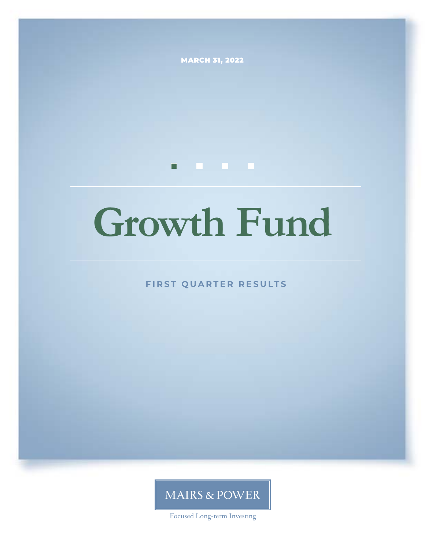**MARCH 31, 2022** 

# **. . . .**

# **Growth Fund**

**FIRST QUARTER RESULTS**

**MAIRS & POWER** 

- Focused Long-term Investing-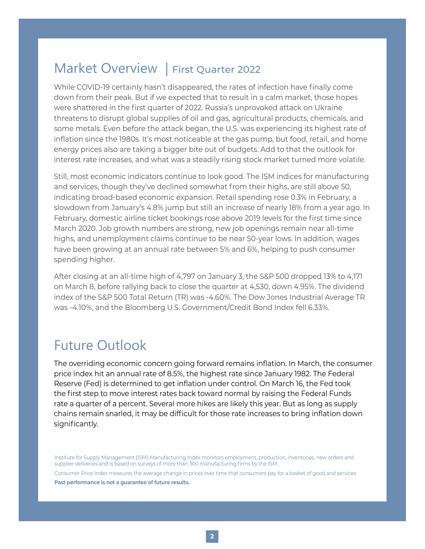# Market Overview | First Quarter 2022

While COVID-19 certainly hasn't disappeared, the rates of infection have finally come down from their peak. But if we expected that to result in a calm market, those hopes were shattered in the first quarter of 2022. Russia's unprovoked attack on Ukraine threatens to disrupt global supplies of oil and gas, agricultural products, chemicals, and some metals. Even before the attack began, the U.S. was experiencing its highest rate of inflation since the 1980s. It's most noticeable at the gas pump, but food, retail, and home energy prices also are taking a bigger bite out of budgets. Add to that the outlook for interest rate increases, and what was a steadily rising stock market turned more volatile.

Still, most economic indicators continue to look good. The ISM indices for manufacturing and services, though they've declined somewhat from their highs, are still above 50, indicating broad-based economic expansion. Retail spending rose 0.3% in February, a slowdown from January's 4.8% jump but still an increase of nearly 18% from a year ago. In February, domestic airline ticket bookings rose above 2019 levels for the first time since March 2020. Job growth numbers are strong, new job openings remain near all-time highs, and unemployment claims continue to be near 50-year lows. In addition, wages have been growing at an annual rate between 5% and 6%, helping to push consumer spending higher.

After closing at an all-time high of 4,797 on January 3, the S&P 500 dropped 13% to 4,171 on March 8, before rallying back to close the quarter at 4,530, down 4.95%. The dividend index of the S&P 500 Total Return (TR) was -4.60%. The Dow Jones Industrial Average TR was -4.10%, and the Bloomberg U.S. Government/Credit Bond Index fell 6.33%.

# Future Outlook

The overriding economic concern going forward remains inflation. In March, the consumer price index hit an annual rate of 8.5%, the highest rate since January 1982. The Federal Reserve (Fed) is determined to get inflation under control. On March 16, the Fed took the first step to move interest rates back toward normal by raising the Federal Funds rate a quarter of a percent. Several more hikes are likely this year. But as long as supply chains remain snarled, it may be difficult for those rate increases to bring inflation down significantly.

Institute for Supply Management (ISM)-Manufacturing Index monitors employment, production, inventories, new orders and supplier deliveries and is based on surveys of more than 300 manufacturing firms by the ISM.

Consumer Price Index measures the average change in prices over time that consumers pay for a basket of good and services. **Past performance is not a guarantee of future results.**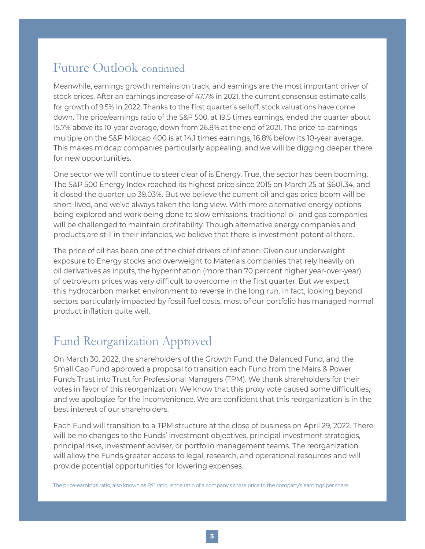## Future Outlook continued

Meanwhile, earnings growth remains on track, and earnings are the most important driver of stock prices. After an earnings increase of 47.7% in 2021, the current consensus estimate calls for growth of 9.5% in 2022. Thanks to the first quarter's selloff, stock valuations have come down. The price/earnings ratio of the S&P 500, at 19.5 times earnings, ended the quarter about 15.7% above its 10-year average, down from 26.8% at the end of 2021. The price-to-earnings multiple on the S&P Midcap 400 is at 14.1 times earnings, 16.8% below its 10-year average. This makes midcap companies particularly appealing, and we will be digging deeper there for new opportunities.

One sector we will continue to steer clear of is Energy. True, the sector has been booming. The S&P 500 Energy Index reached its highest price since 2015 on March 25 at \$601.34, and it closed the quarter up 39.03%. But we believe the current oil and gas price boom will be short-lived, and we've always taken the long view. With more alternative energy options being explored and work being done to slow emissions, traditional oil and gas companies will be challenged to maintain profitability. Though alternative energy companies and products are still in their infancies, we believe that there is investment potential there.

The price of oil has been one of the chief drivers of inflation. Given our underweight exposure to Energy stocks and overweight to Materials companies that rely heavily on oil derivatives as inputs, the hyperinflation (more than 70 percent higher year-over-year) of petroleum prices was very difficult to overcome in the first quarter. But we expect this hydrocarbon market environment to reverse in the long run. In fact, looking beyond sectors particularly impacted by fossil fuel costs, most of our portfolio has managed normal product inflation quite well.

# Fund Reorganization Approved

On March 30, 2022, the shareholders of the Growth Fund, the Balanced Fund, and the Small Cap Fund approved a proposal to transition each Fund from the Mairs & Power Funds Trust into Trust for Professional Managers (TPM). We thank shareholders for their votes in favor of this reorganization. We know that this proxy vote caused some difficulties, and we apologize for the inconvenience. We are confident that this reorganization is in the best interest of our shareholders.

Each Fund will transition to a TPM structure at the close of business on April 29, 2022. There will be no changes to the Funds' investment objectives, principal investment strategies, principal risks, investment adviser, or portfolio management teams. The reorganization will allow the Funds greater access to legal, research, and operational resources and will provide potential opportunities for lowering expenses.

The price-earnings ratio, also known as P/E ratio, is the ratio of a company's share price to the company's earnings per share.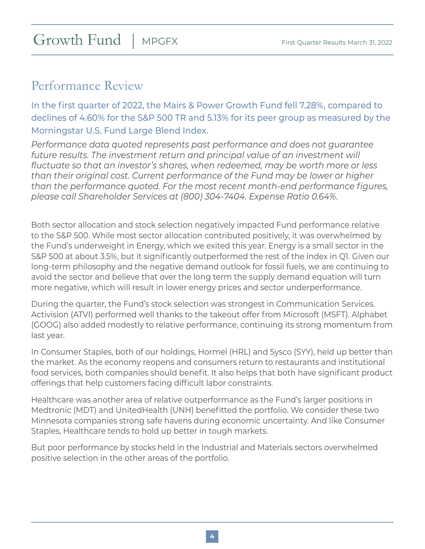# Growth Fund | MPGFX

# Performance Review

In the first quarter of 2022, the Mairs & Power Growth Fund fell 7.28%, compared to declines of 4.60% for the S&P 500 TR and 5.13% for its peer group as measured by the Morningstar U.S. Fund Large Blend Index.

*Performance data quoted represents past performance and does not guarantee*  future results. The investment return and principal value of an investment will *fluctuate so that an investor's shares, when redeemed, may be worth more or less than their original cost. Current performance of the Fund may be lower or higher than the performance quoted. For the most recent month-end performance figures, please call Shareholder Services at (800) 304-7404. Expense Ratio 0.64%.*

Both sector allocation and stock selection negatively impacted Fund performance relative to the S&P 500. While most sector allocation contributed positively, it was overwhelmed by the Fund's underweight in Energy, which we exited this year. Energy is a small sector in the S&P 500 at about 3.5%, but it significantly outperformed the rest of the index in Q1. Given our long-term philosophy and the negative demand outlook for fossil fuels, we are continuing to avoid the sector and believe that over the long term the supply demand equation will turn more negative, which will result in lower energy prices and sector underperformance.

During the quarter, the Fund's stock selection was strongest in Communication Services. Activision (ATVI) performed well thanks to the takeout offer from Microsoft (MSFT). Alphabet (GOOG) also added modestly to relative performance, continuing its strong momentum from last year.

In Consumer Staples, both of our holdings, Hormel (HRL) and Sysco (SYY), held up better than the market. As the economy reopens and consumers return to restaurants and institutional food services, both companies should benefit. It also helps that both have significant product offerings that help customers facing difficult labor constraints.

Healthcare was another area of relative outperformance as the Fund's larger positions in Medtronic (MDT) and UnitedHealth (UNH) benefitted the portfolio. We consider these two Minnesota companies strong safe havens during economic uncertainty. And like Consumer Staples, Healthcare tends to hold up better in tough markets.

But poor performance by stocks held in the Industrial and Materials sectors overwhelmed positive selection in the other areas of the portfolio.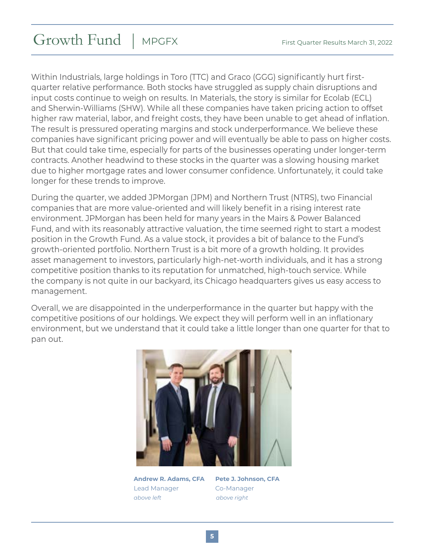# Growth Fund | MPGFX

Within Industrials, large holdings in Toro (TTC) and Graco (GGG) significantly hurt firstquarter relative performance. Both stocks have struggled as supply chain disruptions and input costs continue to weigh on results. In Materials, the story is similar for Ecolab (ECL) and Sherwin-Williams (SHW). While all these companies have taken pricing action to offset higher raw material, labor, and freight costs, they have been unable to get ahead of inflation. The result is pressured operating margins and stock underperformance. We believe these companies have significant pricing power and will eventually be able to pass on higher costs. But that could take time, especially for parts of the businesses operating under longer-term contracts. Another headwind to these stocks in the quarter was a slowing housing market due to higher mortgage rates and lower consumer confidence. Unfortunately, it could take longer for these trends to improve.

During the quarter, we added JPMorgan (JPM) and Northern Trust (NTRS), two Financial companies that are more value-oriented and will likely benefit in a rising interest rate environment. JPMorgan has been held for many years in the Mairs & Power Balanced Fund, and with its reasonably attractive valuation, the time seemed right to start a modest position in the Growth Fund. As a value stock, it provides a bit of balance to the Fund's growth-oriented portfolio. Northern Trust is a bit more of a growth holding. It provides asset management to investors, particularly high-net-worth individuals, and it has a strong competitive position thanks to its reputation for unmatched, high-touch service. While the company is not quite in our backyard, its Chicago headquarters gives us easy access to management.

Overall, we are disappointed in the underperformance in the quarter but happy with the competitive positions of our holdings. We expect they will perform well in an inflationary environment, but we understand that it could take a little longer than one quarter for that to pan out.



**Andrew R. Adams, CFA Pete J. Johnson, CFA** Lead Manager **Co-Manager** *above left above right*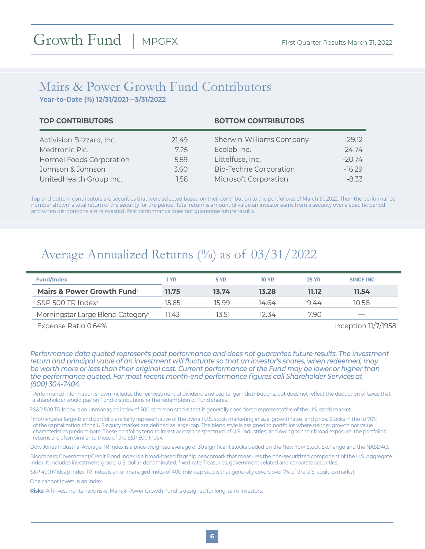### Mairs & Power Growth Fund Contributors **Year-to-Date (%) 12/31/2021—3/31/2022**

|       | <b>BOTTOM CONTRIBUTORS</b>    |          |  |  |
|-------|-------------------------------|----------|--|--|
| 21.49 | Sherwin-Williams Company      | $-29.12$ |  |  |
| 725   | Ecolab Inc.                   | $-24.74$ |  |  |
| 5.59  | Littelfuse, Inc.              | $-20.74$ |  |  |
| 3.60  | <b>Bio-Techne Corporation</b> | $-16.29$ |  |  |
| 1.56  | Microsoft Corporation         | $-8.33$  |  |  |
|       |                               |          |  |  |

Top and bottom contributors are securities that were selected based on their contribution to the portfolio as of March 31, 2022. Then the performance number shown is total return of the security for the period. Total return is amount of value an investor earns from a security over a specific period and when distributions are reinvested. Past performance does not guarantee future results.

# Average Annualized Returns (%) as of  $03/31/2022$

| <b>Fund/Index</b>                             | 1 YR  | 5 YR  | <b>10 YR</b> | <b>25 YR</b> | SINCE INC                |
|-----------------------------------------------|-------|-------|--------------|--------------|--------------------------|
| <b>Mairs &amp; Power Growth Fund</b>          | 11.75 | 13.74 | 13.28        | 11.12        | 11.54                    |
| $S\&P$ 500 TR Index <sup>2</sup>              | 15.65 | 15 99 | 14.64        | 944          | 10.58                    |
| Morningstar Large Blend Category <sup>3</sup> | 11.43 | 13.51 | 12.34        | 7.90         | $\overline{\phantom{a}}$ |
|                                               |       |       |              |              | $\sim$                   |

Expense Ratio 0.64% Inception 11/7/1958

*Performance data quoted represents past performance and does not guarantee future results. The investment return and principal value of an investment will fluctuate so that an investor's shares, when redeemed, may be worth more or less than their original cost. Current performance of the Fund may be lower or higher than the performance quoted. For most recent month-end performance figures call Shareholder Services at (800) 304-7404.*

<sup>1</sup> Performance information shown includes the reinvestment of dividend and capital gain distributions, but does not reflect the deduction of taxes that a shareholder would pay on Fund distributions or the redemption of Fund shares.

2 S&P 500 TR Index is an unmanaged index of 500 common stocks that is generally considered representative of the U.S. stock market.

3 Morningstar large-blend portfolio are fairly representative of the overall U.S. stock marketing in size, growth rates, and price. Stocks in the to 70% of the capitalization of the U.S equity market are defined as large-cap. The blend style is assigned to portfolios where neither growth nor value characteristics predominate. These portfolios tend to invest across the spectrum of U.S. industries, and owing to their broad exposure, the portfolios' returns are often similar to those of the S&P 500 Index.

Dow Jones Industrial Average TR Index is a price-weighted average of 30 significant stocks traded on the New York Stock Exchange and the NASDAQ.

Bloomberg Government/Credit Bond Index is a broad-based flagship benchmark that measures the non-securitized component of the U.S. Aggregate Index. It includes investment-grade, U.S. dollar-denominated, fixed-rate Treasuries, government-related and corporate securities.

S&P 400 Midcap Index TR Index is an unmanaged index of 400 mid-cap stocks that generally covers over 7% of the U.S. equities market.

One cannot invest in an index.

**Risks:** All investments have risks. Mairs & Power Growth Fund is designed for long-term investors.